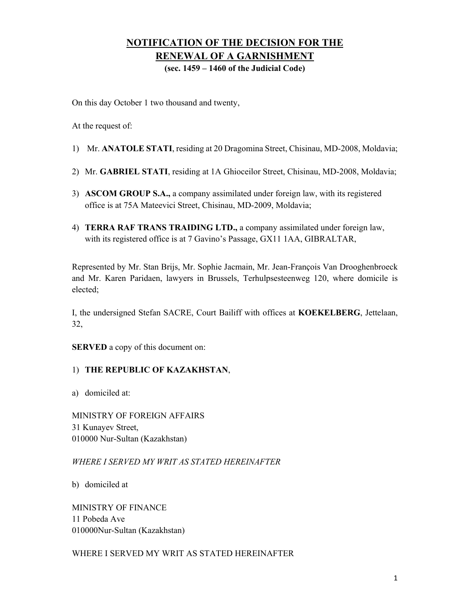## **NOTIFICATION OF THE DECISION FOR THE RENEWAL OF A GARNISHMENT**

**(sec. 1459 – 1460 of the Judicial Code)** 

On this day October 1 two thousand and twenty,

At the request of:

- 1) Mr. **ANATOLE STATI**, residing at 20 Dragomina Street, Chisinau, MD-2008, Moldavia;
- 2) Mr. **GABRIEL STATI**, residing at 1A Ghioceilor Street, Chisinau, MD-2008, Moldavia;
- 3) **ASCOM GROUP S.A.,** a company assimilated under foreign law, with its registered office is at 75A Mateevici Street, Chisinau, MD-2009, Moldavia;
- 4) **TERRA RAF TRANS TRAIDING LTD.,** a company assimilated under foreign law, with its registered office is at 7 Gavino's Passage, GX11 1AA, GIBRALTAR,

Represented by Mr. Stan Brijs, Mr. Sophie Jacmain, Mr. Jean-François Van Drooghenbroeck and Mr. Karen Paridaen, lawyers in Brussels, Terhulpsesteenweg 120, where domicile is elected;

I, the undersigned Stefan SACRE, Court Bailiff with offices at **KOEKELBERG**, Jettelaan, 32,

**SERVED** a copy of this document on:

## 1) **THE REPUBLIC OF KAZAKHSTAN**,

a) domiciled at:

MINISTRY OF FOREIGN AFFAIRS 31 Kunayev Street, 010000 Nur-Sultan (Kazakhstan)

*WHERE I SERVED MY WRIT AS STATED HEREINAFTER* 

b) domiciled at

MINISTRY OF FINANCE 11 Pobeda Ave 010000Nur-Sultan (Kazakhstan)

WHERE I SERVED MY WRIT AS STATED HEREINAFTER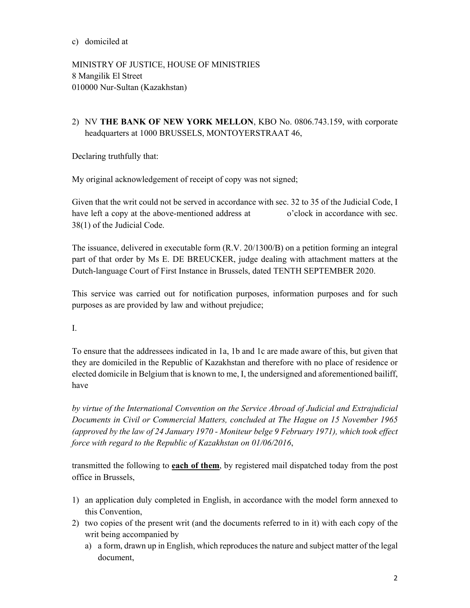MINISTRY OF JUSTICE, HOUSE OF MINISTRIES 8 Mangilik El Street 010000 Nur-Sultan (Kazakhstan)

2) NV **THE BANK OF NEW YORK MELLON**, KBO No. 0806.743.159, with corporate headquarters at 1000 BRUSSELS, MONTOYERSTRAAT 46,

Declaring truthfully that:

My original acknowledgement of receipt of copy was not signed;

Given that the writ could not be served in accordance with sec. 32 to 35 of the Judicial Code, I have left a copy at the above-mentioned address at o'clock in accordance with sec. 38(1) of the Judicial Code.

The issuance, delivered in executable form (R.V. 20/1300/B) on a petition forming an integral part of that order by Ms E. DE BREUCKER, judge dealing with attachment matters at the Dutch-language Court of First Instance in Brussels, dated TENTH SEPTEMBER 2020.

This service was carried out for notification purposes, information purposes and for such purposes as are provided by law and without prejudice;

I.

To ensure that the addressees indicated in 1a, 1b and 1c are made aware of this, but given that they are domiciled in the Republic of Kazakhstan and therefore with no place of residence or elected domicile in Belgium that is known to me, I, the undersigned and aforementioned bailiff, have

*by virtue of the International Convention on the Service Abroad of Judicial and Extrajudicial Documents in Civil or Commercial Matters, concluded at The Hague on 15 November 1965 (approved by the law of 24 January 1970 - Moniteur belge 9 February 1971), which took effect force with regard to the Republic of Kazakhstan on 01/06/2016*,

transmitted the following to **each of them**, by registered mail dispatched today from the post office in Brussels,

- 1) an application duly completed in English, in accordance with the model form annexed to this Convention,
- 2) two copies of the present writ (and the documents referred to in it) with each copy of the writ being accompanied by
	- a) a form, drawn up in English, which reproduces the nature and subject matter of the legal document,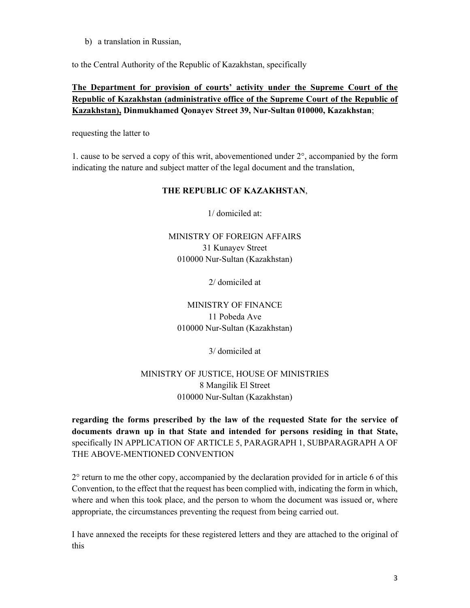b) a translation in Russian,

to the Central Authority of the Republic of Kazakhstan, specifically

## **The Department for provision of courts' activity under the Supreme Court of the Republic of Kazakhstan (administrative office of the Supreme Court of the Republic of Kazakhstan), Dinmukhamed Qonayev Street 39, Nur-Sultan 010000, Kazakhstan**;

requesting the latter to

1. cause to be served a copy of this writ, abovementioned under 2°, accompanied by the form indicating the nature and subject matter of the legal document and the translation,

#### **THE REPUBLIC OF KAZAKHSTAN**,

1/ domiciled at:

## MINISTRY OF FOREIGN AFFAIRS 31 Kunayev Street 010000 Nur-Sultan (Kazakhstan)

2/ domiciled at

MINISTRY OF FINANCE 11 Pobeda Ave 010000 Nur-Sultan (Kazakhstan)

3/ domiciled at

## MINISTRY OF JUSTICE, HOUSE OF MINISTRIES 8 Mangilik El Street 010000 Nur-Sultan (Kazakhstan)

**regarding the forms prescribed by the law of the requested State for the service of documents drawn up in that State and intended for persons residing in that State,** specifically IN APPLICATION OF ARTICLE 5, PARAGRAPH 1, SUBPARAGRAPH A OF THE ABOVE-MENTIONED CONVENTION

 $2^{\circ}$  return to me the other copy, accompanied by the declaration provided for in article 6 of this Convention, to the effect that the request has been complied with, indicating the form in which, where and when this took place, and the person to whom the document was issued or, where appropriate, the circumstances preventing the request from being carried out.

I have annexed the receipts for these registered letters and they are attached to the original of this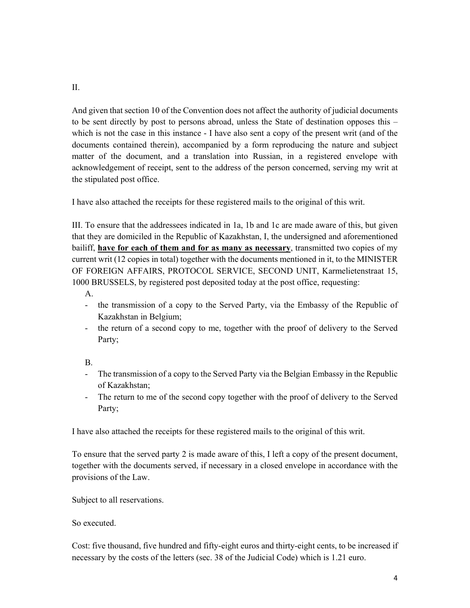And given that section 10 of the Convention does not affect the authority of judicial documents to be sent directly by post to persons abroad, unless the State of destination opposes this – which is not the case in this instance - I have also sent a copy of the present writ (and of the documents contained therein), accompanied by a form reproducing the nature and subject matter of the document, and a translation into Russian, in a registered envelope with acknowledgement of receipt, sent to the address of the person concerned, serving my writ at the stipulated post office.

I have also attached the receipts for these registered mails to the original of this writ.

III. To ensure that the addressees indicated in 1a, 1b and 1c are made aware of this, but given that they are domiciled in the Republic of Kazakhstan, I, the undersigned and aforementioned bailiff, **have for each of them and for as many as necessary**, transmitted two copies of my current writ (12 copies in total) together with the documents mentioned in it, to the MINISTER OF FOREIGN AFFAIRS, PROTOCOL SERVICE, SECOND UNIT, Karmelietenstraat 15, 1000 BRUSSELS, by registered post deposited today at the post office, requesting:

A.

- the transmission of a copy to the Served Party, via the Embassy of the Republic of Kazakhstan in Belgium;
- the return of a second copy to me, together with the proof of delivery to the Served Party;

B.

- The transmission of a copy to the Served Party via the Belgian Embassy in the Republic of Kazakhstan;
- The return to me of the second copy together with the proof of delivery to the Served Party;

I have also attached the receipts for these registered mails to the original of this writ.

To ensure that the served party 2 is made aware of this, I left a copy of the present document, together with the documents served, if necessary in a closed envelope in accordance with the provisions of the Law.

Subject to all reservations.

So executed.

Cost: five thousand, five hundred and fifty-eight euros and thirty-eight cents, to be increased if necessary by the costs of the letters (sec. 38 of the Judicial Code) which is 1.21 euro.

II.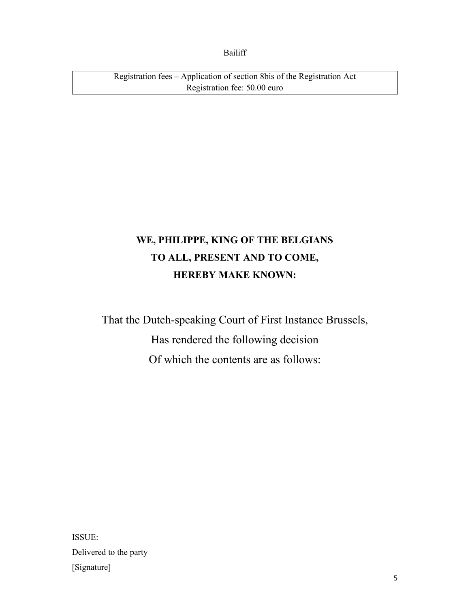Bailiff

Registration fees – Application of section 8bis of the Registration Act Registration fee: 50.00 euro

## **WE, PHILIPPE, KING OF THE BELGIANS TO ALL, PRESENT AND TO COME, HEREBY MAKE KNOWN:**

That the Dutch-speaking Court of First Instance Brussels, Has rendered the following decision Of which the contents are as follows:

ISSUE: Delivered to the party [Signature]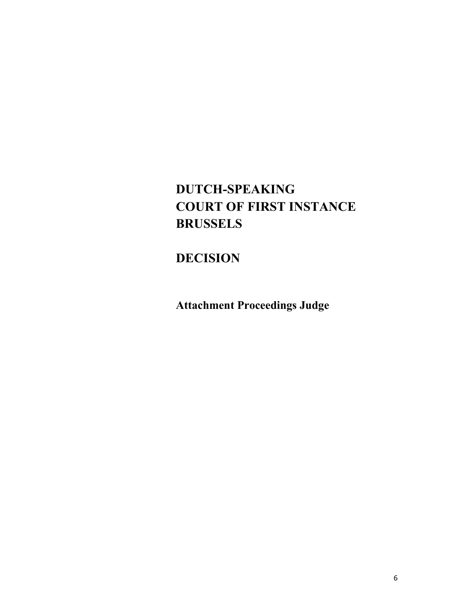# **DUTCH-SPEAKING COURT OF FIRST INSTANCE BRUSSELS**

## **DECISION**

**Attachment Proceedings Judge**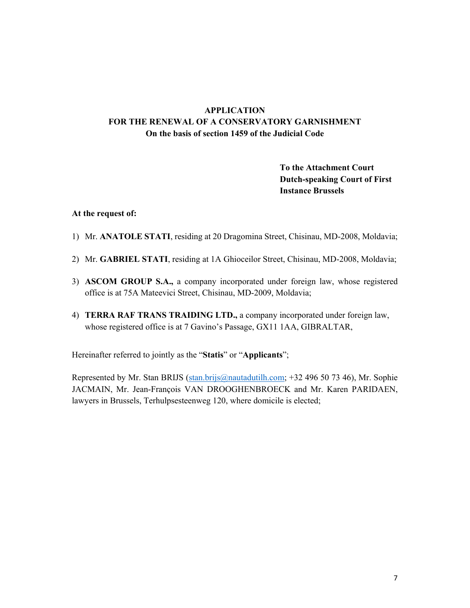## **APPLICATION FOR THE RENEWAL OF A CONSERVATORY GARNISHMENT On the basis of section 1459 of the Judicial Code**

## **To the Attachment Court Dutch-speaking Court of First Instance Brussels**

#### **At the request of:**

- 1) Mr. **ANATOLE STATI**, residing at 20 Dragomina Street, Chisinau, MD-2008, Moldavia;
- 2) Mr. **GABRIEL STATI**, residing at 1A Ghioceilor Street, Chisinau, MD-2008, Moldavia;
- 3) **ASCOM GROUP S.A.,** a company incorporated under foreign law, whose registered office is at 75A Mateevici Street, Chisinau, MD-2009, Moldavia;
- 4) **TERRA RAF TRANS TRAIDING LTD.,** a company incorporated under foreign law, whose registered office is at 7 Gavino's Passage, GX11 1AA, GIBRALTAR,

Hereinafter referred to jointly as the "**Statis**" or "**Applicants**";

Represented by Mr. Stan BRIJS (stan.brijs@nautadutilh.com; +32 496 50 73 46), Mr. Sophie JACMAIN, Mr. Jean-François VAN DROOGHENBROECK and Mr. Karen PARIDAEN, lawyers in Brussels, Terhulpsesteenweg 120, where domicile is elected;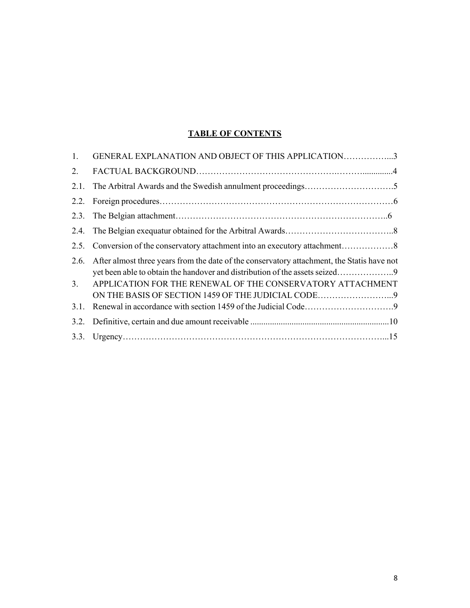## **TABLE OF CONTENTS**

| 1.   | GENERAL EXPLANATION AND OBJECT OF THIS APPLICATION3                                                              |
|------|------------------------------------------------------------------------------------------------------------------|
| 2.   |                                                                                                                  |
| 2.1. |                                                                                                                  |
|      |                                                                                                                  |
|      |                                                                                                                  |
|      |                                                                                                                  |
| 2.5. |                                                                                                                  |
| 2.6. | After almost three years from the date of the conservatory attachment, the Statis have not                       |
| 3.   | APPLICATION FOR THE RENEWAL OF THE CONSERVATORY ATTACHMENT<br>ON THE BASIS OF SECTION 1459 OF THE JUDICIAL CODE9 |
| 3.1. |                                                                                                                  |
| 3.2. |                                                                                                                  |
|      |                                                                                                                  |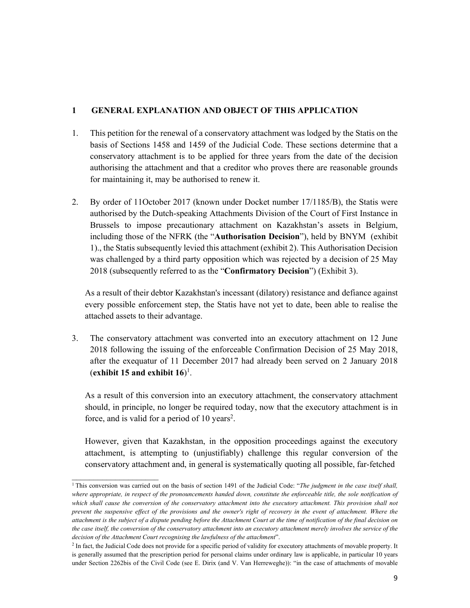#### **1 GENERAL EXPLANATION AND OBJECT OF THIS APPLICATION**

- 1. This petition for the renewal of a conservatory attachment was lodged by the Statis on the basis of Sections 1458 and 1459 of the Judicial Code. These sections determine that a conservatory attachment is to be applied for three years from the date of the decision authorising the attachment and that a creditor who proves there are reasonable grounds for maintaining it, may be authorised to renew it.
- 2. By order of 11October 2017 (known under Docket number 17/1185/B), the Statis were authorised by the Dutch-speaking Attachments Division of the Court of First Instance in Brussels to impose precautionary attachment on Kazakhstan's assets in Belgium, including those of the NFRK (the "**Authorisation Decision**"), held by BNYM (exhibit 1)., the Statis subsequently levied this attachment (exhibit 2). This Authorisation Decision was challenged by a third party opposition which was rejected by a decision of 25 May 2018 (subsequently referred to as the "**Confirmatory Decision**") (Exhibit 3).

As a result of their debtor Kazakhstan's incessant (dilatory) resistance and defiance against every possible enforcement step, the Statis have not yet to date, been able to realise the attached assets to their advantage.

3. The conservatory attachment was converted into an executory attachment on 12 June 2018 following the issuing of the enforceable Confirmation Decision of 25 May 2018, after the exequatur of 11 December 2017 had already been served on 2 January 2018 (**exhibit 15 and exhibit 16**)<sup>1</sup>.

As a result of this conversion into an executory attachment, the conservatory attachment should, in principle, no longer be required today, now that the executory attachment is in force, and is valid for a period of 10 years<sup>2</sup>.

However, given that Kazakhstan, in the opposition proceedings against the executory attachment, is attempting to (unjustifiably) challenge this regular conversion of the conservatory attachment and, in general is systematically quoting all possible, far-fetched

 $\mathcal{L}_\text{max}$ 

<sup>&</sup>lt;sup>1</sup> This conversion was carried out on the basis of section 1491 of the Judicial Code: "*The judgment in the case itself shall*, *where appropriate, in respect of the pronouncements handed down, constitute the enforceable title, the sole notification of*  which shall cause the conversion of the conservatory attachment into the executory attachment. This provision shall not *prevent the suspensive effect of the provisions and the owner's right of recovery in the event of attachment. Where the attachment is the subject of a dispute pending before the Attachment Court at the time of notification of the final decision on the case itself, the conversion of the conservatory attachment into an executory attachment merely involves the service of the decision of the Attachment Court recognising the lawfulness of the attachment*". 2

<sup>&</sup>lt;sup>2</sup> In fact, the Judicial Code does not provide for a specific period of validity for executory attachments of movable property. It is generally assumed that the prescription period for personal claims under ordinary law is applicable, in particular 10 years under Section 2262bis of the Civil Code (see E. Dirix (and V. Van Herreweghe)): "in the case of attachments of movable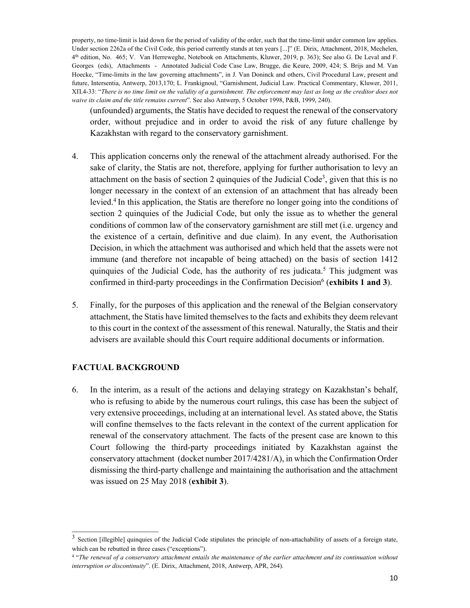property, no time-limit is laid down for the period of validity of the order, such that the time-limit under common law applies. Under section 2262a of the Civil Code, this period currently stands at ten years [...]" (E. Dirix, Attachment, 2018, Mechelen, 4th edition, No. 465; V. Van Herreweghe, Notebook on Attachments, Kluwer, 2019, p. 363); See also G. De Leval and F. Georges (eds), Attachments - Annotated Judicial Code Case Law, Brugge, die Keure, 2009, 424; S. Brijs and M. Van Hoecke, "Time-limits in the law governing attachments", in J. Van Doninck and others, Civil Procedural Law, present and future, Intersentia, Antwerp, 2013,170; L. Frankignoul, "Garnishment, Judicial Law. Practical Commentary, Kluwer, 2011, ХП.4-33: "*There is no time limit on the validity of a garnishment. The enforcement may last as long as the creditor does not waive its claim and the title remains current*". See also Antwerp, 5 October 1998, P&B, 1999, 240).

(unfounded) arguments, the Statis have decided to request the renewal of the conservatory order, without prejudice and in order to avoid the risk of any future challenge by Kazakhstan with regard to the conservatory garnishment.

- 4. This application concerns only the renewal of the attachment already authorised. For the sake of clarity, the Statis are not, therefore, applying for further authorisation to levy an attachment on the basis of section 2 quinquies of the Judicial Code<sup>3</sup>, given that this is no longer necessary in the context of an extension of an attachment that has already been levied.4 In this application, the Statis are therefore no longer going into the conditions of section 2 quinquies of the Judicial Code, but only the issue as to whether the general conditions of common law of the conservatory garnishment are still met (i.e. urgency and the existence of a certain, definitive and due claim). In any event, the Authorisation Decision, in which the attachment was authorised and which held that the assets were not immune (and therefore not incapable of being attached) on the basis of section 1412 quinquies of the Judicial Code, has the authority of res judicata.<sup>5</sup> This judgment was confirmed in third-party proceedings in the Confirmation Decision<sup>6</sup> (exhibits 1 and 3).
- 5. Finally, for the purposes of this application and the renewal of the Belgian conservatory attachment, the Statis have limited themselves to the facts and exhibits they deem relevant to this court in the context of the assessment of this renewal. Naturally, the Statis and their advisers are available should this Court require additional documents or information.

## **FACTUAL BACKGROUND**

 $\mathcal{L}_\text{max}$ 

6. In the interim, as a result of the actions and delaying strategy on Kazakhstan's behalf, who is refusing to abide by the numerous court rulings, this case has been the subject of very extensive proceedings, including at an international level. As stated above, the Statis will confine themselves to the facts relevant in the context of the current application for renewal of the conservatory attachment. The facts of the present case are known to this Court following the third-party proceedings initiated by Kazakhstan against the conservatory attachment (docket number 2017/4281/A), in which the Confirmation Order dismissing the third-party challenge and maintaining the authorisation and the attachment was issued on 25 May 2018 (**exhibit 3**).

<sup>&</sup>lt;sup>3</sup> Section [illegible] quinquies of the Judicial Code stipulates the principle of non-attachability of assets of a foreign state, which can be rebutted in three cases ("exceptions").

<sup>4 &</sup>quot;*The renewal of a conservatory attachment entails the maintenance of the earlier attachment and its continuation without interruption or discontinuity*". (E. Dirix, Attachment, 2018, Antwerp, APR, 264).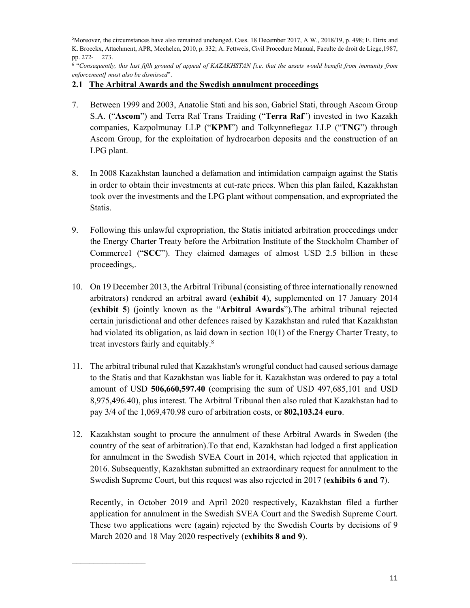5 Moreover, the circumstances have also remained unchanged. Cass. 18 December 2017, A W., 2018/19, p. 498; E. Dirix and K. Broeckx, Attachment, APR, Mechelen, 2010, p. 332; A. Fettweis, Civil Procedure Manual, Faculte de droit de Liege,1987, pp. 272- 273.

<sup>6</sup> "Consequently, this last fifth ground of appeal of KAZAKHSTAN [i.e. that the assets would benefit from immunity from *enforcement] must also be dismissed*".

## **2.1 The Arbitral Awards and the Swedish annulment proceedings**

- 7. Between 1999 and 2003, Anatolie Stati and his son, Gabriel Stati, through Ascom Group S.A. ("**Ascom**") and Terra Raf Trans Traiding ("**Terra Raf**") invested in two Kazakh companies, Kazpolmunay LLP ("**KPM**") and Tolkynneftegaz LLP ("**TNG**") through Ascom Group, for the exploitation of hydrocarbon deposits and the construction of an LPG plant.
- 8. In 2008 Kazakhstan launched a defamation and intimidation campaign against the Statis in order to obtain their investments at cut-rate prices. When this plan failed, Kazakhstan took over the investments and the LPG plant without compensation, and expropriated the Statis.
- 9. Following this unlawful expropriation, the Statis initiated arbitration proceedings under the Energy Charter Treaty before the Arbitration Institute of the Stockholm Chamber of Commerce1 ("**SCC**"). They claimed damages of almost USD 2.5 billion in these proceedings,.
- 10. On 19 December 2013, the Arbitral Tribunal (consisting of three internationally renowned arbitrators) rendered an arbitral award (**exhibit 4**), supplemented on 17 January 2014 (**exhibit 5**) (jointly known as the "**Arbitral Awards**").The arbitral tribunal rejected certain jurisdictional and other defences raised by Kazakhstan and ruled that Kazakhstan had violated its obligation, as laid down in section 10(1) of the Energy Charter Treaty, to treat investors fairly and equitably.8
- 11. The arbitral tribunal ruled that Kazakhstan's wrongful conduct had caused serious damage to the Statis and that Kazakhstan was liable for it. Kazakhstan was ordered to pay a total amount of USD **506,660,597.40** (comprising the sum of USD 497,685,101 and USD 8,975,496.40), plus interest. The Arbitral Tribunal then also ruled that Kazakhstan had to pay 3/4 of the 1,069,470.98 euro of arbitration costs, or **802,103.24 euro**.
- 12. Kazakhstan sought to procure the annulment of these Arbitral Awards in Sweden (the country of the seat of arbitration).To that end, Kazakhstan had lodged a first application for annulment in the Swedish SVEA Court in 2014, which rejected that application in 2016. Subsequently, Kazakhstan submitted an extraordinary request for annulment to the Swedish Supreme Court, but this request was also rejected in 2017 (**exhibits 6 and 7**).

Recently, in October 2019 and April 2020 respectively, Kazakhstan filed a further application for annulment in the Swedish SVEA Court and the Swedish Supreme Court. These two applications were (again) rejected by the Swedish Courts by decisions of 9 March 2020 and 18 May 2020 respectively (**exhibits 8 and 9**).

 $\mathcal{L}_\text{max}$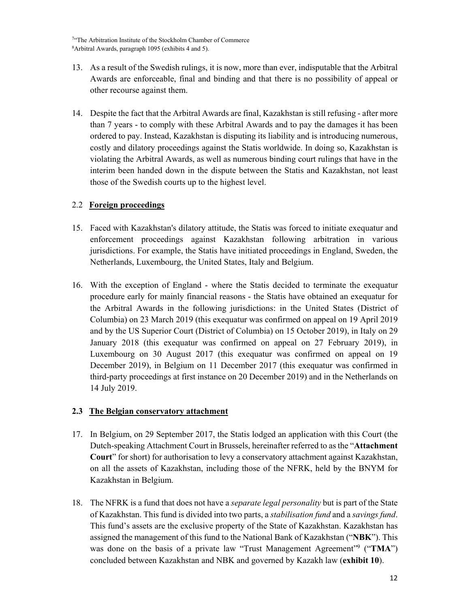<sup>7</sup>"The Arbitration Institute of the Stockholm Chamber of Commerce 8 Arbitral Awards, paragraph 1095 (exhibits 4 and 5).

- 13. As a result of the Swedish rulings, it is now, more than ever, indisputable that the Arbitral Awards are enforceable, final and binding and that there is no possibility of appeal or other recourse against them.
- 14. Despite the fact that the Arbitral Awards are final, Kazakhstan is still refusing after more than 7 years - to comply with these Arbitral Awards and to pay the damages it has been ordered to pay. Instead, Kazakhstan is disputing its liability and is introducing numerous, costly and dilatory proceedings against the Statis worldwide. In doing so, Kazakhstan is violating the Arbitral Awards, as well as numerous binding court rulings that have in the interim been handed down in the dispute between the Statis and Kazakhstan, not least those of the Swedish courts up to the highest level.

## 2.2 **Foreign proceedings**

- 15. Faced with Kazakhstan's dilatory attitude, the Statis was forced to initiate exequatur and enforcement proceedings against Kazakhstan following arbitration in various jurisdictions. For example, the Statis have initiated proceedings in England, Sweden, the Netherlands, Luxembourg, the United States, Italy and Belgium.
- 16. With the exception of England where the Statis decided to terminate the exequatur procedure early for mainly financial reasons - the Statis have obtained an exequatur for the Arbitral Awards in the following jurisdictions: in the United States (District of Columbia) on 23 March 2019 (this exequatur was confirmed on appeal on 19 April 2019 and by the US Superior Court (District of Columbia) on 15 October 2019), in Italy on 29 January 2018 (this exequatur was confirmed on appeal on 27 February 2019), in Luxembourg on 30 August 2017 (this exequatur was confirmed on appeal on 19 December 2019), in Belgium on 11 December 2017 (this exequatur was confirmed in third-party proceedings at first instance on 20 December 2019) and in the Netherlands on 14 July 2019.

#### **2.3 The Belgian conservatory attachment**

- 17. In Belgium, on 29 September 2017, the Statis lodged an application with this Court (the Dutch-speaking Attachment Court in Brussels, hereinafter referred to as the "**Attachment Court**" for short) for authorisation to levy a conservatory attachment against Kazakhstan, on all the assets of Kazakhstan, including those of the NFRK, held by the BNYM for Kazakhstan in Belgium.
- 18. The NFRK is a fund that does not have a *separate legal personality* but is part of the State of Kazakhstan. This fund is divided into two parts, a *stabilisation fund* and a *savings fund*. This fund's assets are the exclusive property of the State of Kazakhstan. Kazakhstan has assigned the management of this fund to the National Bank of Kazakhstan ("**NBK**"). This was done on the basis of a private law "Trust Management Agreement"9 ("**TMA**") concluded between Kazakhstan and NBK and governed by Kazakh law (**exhibit 10**).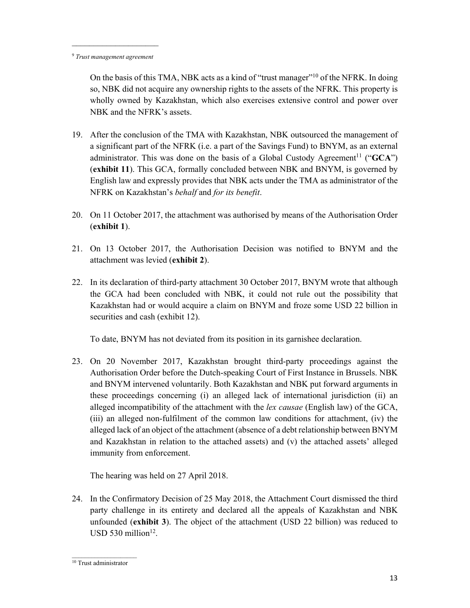$\mathcal{L}_\text{max}$ 

On the basis of this TMA, NBK acts as a kind of "trust manager"10 of the NFRK. In doing so, NBK did not acquire any ownership rights to the assets of the NFRK. This property is wholly owned by Kazakhstan, which also exercises extensive control and power over NBK and the NFRK's assets.

- 19. After the conclusion of the TMA with Kazakhstan, NBK outsourced the management of a significant part of the NFRK (i.e. a part of the Savings Fund) to BNYM, as an external administrator. This was done on the basis of a Global Custody Agreement<sup>11</sup> ("**GCA**") (**exhibit 11**). This GCA, formally concluded between NBK and BNYM, is governed by English law and expressly provides that NBK acts under the TMA as administrator of the NFRK on Kazakhstan's *behalf* and *for its benefit*.
- 20. On 11 October 2017, the attachment was authorised by means of the Authorisation Order (**exhibit 1**).
- 21. On 13 October 2017, the Authorisation Decision was notified to BNYM and the attachment was levied (**exhibit 2**).
- 22. In its declaration of third-party attachment 30 October 2017, BNYM wrote that although the GCA had been concluded with NBK, it could not rule out the possibility that Kazakhstan had or would acquire a claim on BNYM and froze some USD 22 billion in securities and cash (exhibit 12).

To date, BNYM has not deviated from its position in its garnishee declaration.

23. On 20 November 2017, Kazakhstan brought third-party proceedings against the Authorisation Order before the Dutch-speaking Court of First Instance in Brussels. NBK and BNYM intervened voluntarily. Both Kazakhstan and NBK put forward arguments in these proceedings concerning (i) an alleged lack of international jurisdiction (ii) an alleged incompatibility of the attachment with the *lex causae* (English law) of the GCA, (iii) an alleged non-fulfilment of the common law conditions for attachment, (iv) the alleged lack of an object of the attachment (absence of a debt relationship between BNYM and Kazakhstan in relation to the attached assets) and (v) the attached assets' alleged immunity from enforcement.

The hearing was held on 27 April 2018.

24. In the Confirmatory Decision of 25 May 2018, the Attachment Court dismissed the third party challenge in its entirety and declared all the appeals of Kazakhstan and NBK unfounded (**exhibit 3**). The object of the attachment (USD 22 billion) was reduced to USD 530 million $12$ .

<sup>9</sup> *Trust management agreement* 

 $\overline{10}$  Trust administrator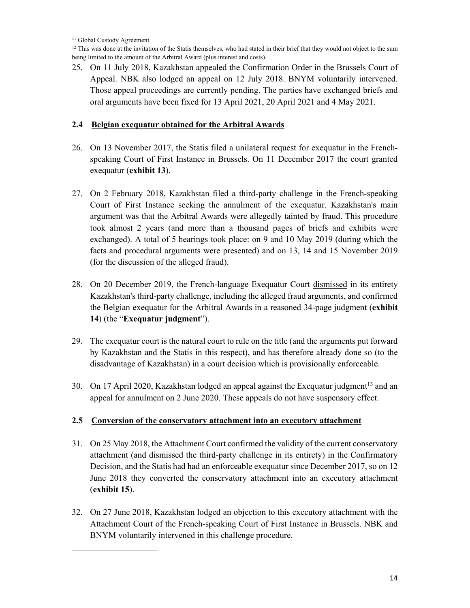$\mathcal{L}_\text{max}$ 

 $12$  This was done at the invitation of the Statis themselves, who had stated in their brief that they would not object to the sum being limited to the amount of the Arbitral Award (plus interest and costs).

25. On 11 July 2018, Kazakhstan appealed the Confirmation Order in the Brussels Court of Appeal. NBK also lodged an appeal on 12 July 2018. BNYM voluntarily intervened. Those appeal proceedings are currently pending. The parties have exchanged briefs and oral arguments have been fixed for 13 April 2021, 20 April 2021 and 4 May 2021.

## **2.4 Belgian exequatur obtained for the Arbitral Awards**

- 26. On 13 November 2017, the Statis filed a unilateral request for exequatur in the Frenchspeaking Court of First Instance in Brussels. On 11 December 2017 the court granted exequatur (**exhibit 13**).
- 27. On 2 February 2018, Kazakhstan filed a third-party challenge in the French-speaking Court of First Instance seeking the annulment of the exequatur. Kazakhstan's main argument was that the Arbitral Awards were allegedly tainted by fraud. This procedure took almost 2 years (and more than a thousand pages of briefs and exhibits were exchanged). A total of 5 hearings took place: on 9 and 10 May 2019 (during which the facts and procedural arguments were presented) and on 13, 14 and 15 November 2019 (for the discussion of the alleged fraud).
- 28. On 20 December 2019, the French-language Exequatur Court dismissed in its entirety Kazakhstan's third-party challenge, including the alleged fraud arguments, and confirmed the Belgian exequatur for the Arbitral Awards in a reasoned 34-page judgment (**exhibit 14**) (the "**Exequatur judgment**").
- 29. The exequatur court is the natural court to rule on the title (and the arguments put forward by Kazakhstan and the Statis in this respect), and has therefore already done so (to the disadvantage of Kazakhstan) in a court decision which is provisionally enforceable.
- 30. On 17 April 2020, Kazakhstan lodged an appeal against the Exequatur judgment<sup>13</sup> and an appeal for annulment on 2 June 2020. These appeals do not have suspensory effect.

## **2.5 Conversion of the conservatory attachment into an executory attachment**

- 31. On 25 May 2018, the Attachment Court confirmed the validity of the current conservatory attachment (and dismissed the third-party challenge in its entirety) in the Confirmatory Decision, and the Statis had had an enforceable exequatur since December 2017, so on 12 June 2018 they converted the conservatory attachment into an executory attachment (**exhibit 15**).
- 32. On 27 June 2018, Kazakhstan lodged an objection to this executory attachment with the Attachment Court of the French-speaking Court of First Instance in Brussels. NBK and BNYM voluntarily intervened in this challenge procedure.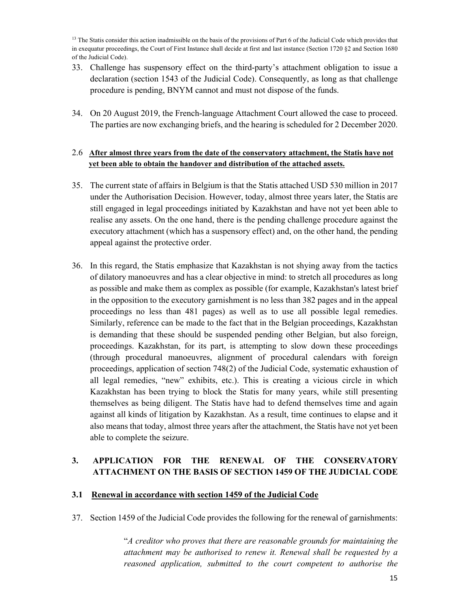<sup>13</sup> The Statis consider this action inadmissible on the basis of the provisions of Part 6 of the Judicial Code which provides that in exequatur proceedings, the Court of First Instance shall decide at first and last instance (Section 1720 §2 and Section 1680 of the Judicial Code).

- 33. Challenge has suspensory effect on the third-party's attachment obligation to issue a declaration (section 1543 of the Judicial Code). Consequently, as long as that challenge procedure is pending, BNYM cannot and must not dispose of the funds.
- 34. On 20 August 2019, the French-language Attachment Court allowed the case to proceed. The parties are now exchanging briefs, and the hearing is scheduled for 2 December 2020.

## 2.6 **After almost three years from the date of the conservatory attachment, the Statis have not yet been able to obtain the handover and distribution of the attached assets.**

- 35. The current state of affairs in Belgium is that the Statis attached USD 530 million in 2017 under the Authorisation Decision. However, today, almost three years later, the Statis are still engaged in legal proceedings initiated by Kazakhstan and have not yet been able to realise any assets. On the one hand, there is the pending challenge procedure against the executory attachment (which has a suspensory effect) and, on the other hand, the pending appeal against the protective order.
- 36. In this regard, the Statis emphasize that Kazakhstan is not shying away from the tactics of dilatory manoeuvres and has a clear objective in mind: to stretch all procedures as long as possible and make them as complex as possible (for example, Kazakhstan's latest brief in the opposition to the executory garnishment is no less than 382 pages and in the appeal proceedings no less than 481 pages) as well as to use all possible legal remedies. Similarly, reference can be made to the fact that in the Belgian proceedings, Kazakhstan is demanding that these should be suspended pending other Belgian, but also foreign, proceedings. Kazakhstan, for its part, is attempting to slow down these proceedings (through procedural manoeuvres, alignment of procedural calendars with foreign proceedings, application of section 748(2) of the Judicial Code, systematic exhaustion of all legal remedies, "new" exhibits, etc.). This is creating a vicious circle in which Kazakhstan has been trying to block the Statis for many years, while still presenting themselves as being diligent. The Statis have had to defend themselves time and again against all kinds of litigation by Kazakhstan. As a result, time continues to elapse and it also means that today, almost three years after the attachment, the Statis have not yet been able to complete the seizure.

## **3. APPLICATION FOR THE RENEWAL OF THE CONSERVATORY ATTACHMENT ON THE BASIS OF SECTION 1459 OF THE JUDICIAL CODE**

## **3.1 Renewal in accordance with section 1459 of the Judicial Code**

37. Section 1459 of the Judicial Code provides the following for the renewal of garnishments:

"*A creditor who proves that there are reasonable grounds for maintaining the attachment may be authorised to renew it. Renewal shall be requested by a reasoned application, submitted to the court competent to authorise the*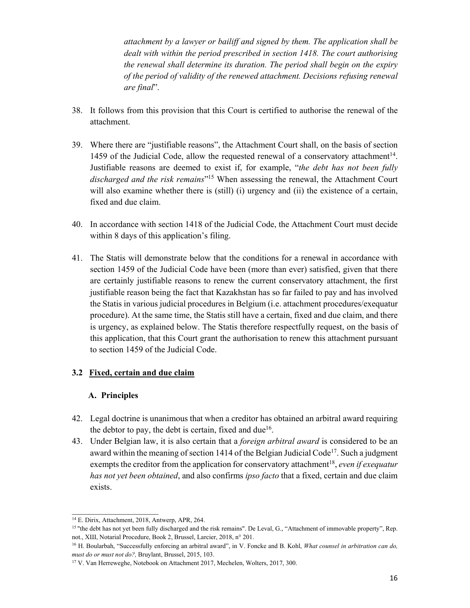*attachment by a lawyer or bailiff and signed by them. The application shall be dealt with within the period prescribed in section 1418. The court authorising the renewal shall determine its duration. The period shall begin on the expiry of the period of validity of the renewed attachment. Decisions refusing renewal are final*".

- 38. It follows from this provision that this Court is certified to authorise the renewal of the attachment.
- 39. Where there are "justifiable reasons", the Attachment Court shall, on the basis of section 1459 of the Judicial Code, allow the requested renewal of a conservatory attachment $14$ . Justifiable reasons are deemed to exist if, for example, "*the debt has not been fully discharged and the risk remains*"15 When assessing the renewal, the Attachment Court will also examine whether there is (still) (i) urgency and (ii) the existence of a certain, fixed and due claim.
- 40. In accordance with section 1418 of the Judicial Code, the Attachment Court must decide within 8 days of this application's filing.
- 41. The Statis will demonstrate below that the conditions for a renewal in accordance with section 1459 of the Judicial Code have been (more than ever) satisfied, given that there are certainly justifiable reasons to renew the current conservatory attachment, the first justifiable reason being the fact that Kazakhstan has so far failed to pay and has involved the Statis in various judicial procedures in Belgium (i.e. attachment procedures/exequatur procedure). At the same time, the Statis still have a certain, fixed and due claim, and there is urgency, as explained below. The Statis therefore respectfully request, on the basis of this application, that this Court grant the authorisation to renew this attachment pursuant to section 1459 of the Judicial Code.

## **3.2 Fixed, certain and due claim**

## **A. Principles**

- 42. Legal doctrine is unanimous that when a creditor has obtained an arbitral award requiring the debtor to pay, the debt is certain, fixed and due<sup>16</sup>.
- 43. Under Belgian law, it is also certain that a *foreign arbitral award* is considered to be an award within the meaning of section 1414 of the Belgian Judicial Code<sup>17</sup>. Such a judgment exempts the creditor from the application for conservatory attachment<sup>18</sup>, *even if exequatur has not yet been obtained*, and also confirms *ipso facto* that a fixed, certain and due claim exists.

 $\mathcal{L}_\text{max}$ 

<sup>14</sup> E. Dirix, Attachment, 2018, Antwerp, APR, 264.

<sup>15 &</sup>quot;the debt has not yet been fully discharged and the risk remains". De Leval, G., "Attachment of immovable property", Rep. not., XIII, Notarial Procedure, Book 2, Brussel, Larcier, 2018, n° 201.<br><sup>16</sup> H. Boularbah, "Successfully enforcing an arbitral award", in V. Foncke and B. Kohl, *What counsel in arbitration can do*,

*must do or must not do?*, Bruylant, Brussel, 2015, 103.<br><sup>17</sup> V. Van Herreweghe, Notebook on Attachment 2017, Mechelen, Wolters, 2017, 300.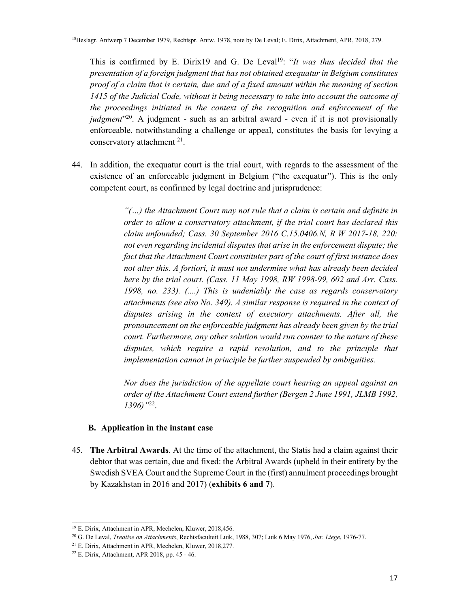This is confirmed by E. Dirix19 and G. De Leval<sup>19</sup>: "*It was thus decided that the presentation of a foreign judgment that has not obtained exequatur in Belgium constitutes proof of a claim that is certain, due and of a fixed amount within the meaning of section 1415 of the Judicial Code, without it being necessary to take into account the outcome of the proceedings initiated in the context of the recognition and enforcement of the judgment*<sup>"20</sup>. A judgment - such as an arbitral award - even if it is not provisionally enforceable, notwithstanding a challenge or appeal, constitutes the basis for levying a conservatory attachment 21.

44. In addition, the exequatur court is the trial court, with regards to the assessment of the existence of an enforceable judgment in Belgium ("the exequatur"). This is the only competent court, as confirmed by legal doctrine and jurisprudence:

> *"(…) the Attachment Court may not rule that a claim is certain and definite in order to allow a conservatory attachment, if the trial court has declared this claim unfounded; Cass. 30 September 2016 C.15.0406.N, R W 2017-18, 220: not even regarding incidental disputes that arise in the enforcement dispute; the fact that the Attachment Court constitutes part of the court of first instance does not alter this. A fortiori, it must not undermine what has already been decided here by the trial court. (Cass. 11 May 1998, RW 1998-99, 602 and Arr. Cass. 1998, no. 233). (....) This is undeniably the case as regards conservatory attachments (see also No. 349). A similar response is required in the context of disputes arising in the context of executory attachments. After all, the pronouncement on the enforceable judgment has already been given by the trial court. Furthermore, any other solution would run counter to the nature of these disputes, which require a rapid resolution, and to the principle that implementation cannot in principle be further suspended by ambiguities.*

> *Nor does the jurisdiction of the appellate court hearing an appeal against an order of the Attachment Court extend further (Bergen 2 June 1991, JLMB 1992, 1396)"*22.

#### **B. Application in the instant case**

45. **The Arbitral Awards**. At the time of the attachment, the Statis had a claim against their debtor that was certain, due and fixed: the Arbitral Awards (upheld in their entirety by the Swedish SVEA Court and the Supreme Court in the (first) annulment proceedings brought by Kazakhstan in 2016 and 2017) (**exhibits 6 and 7**).

 $\mathcal{L}_\text{max}$ 

<sup>19</sup> E. Dirix, Attachment in APR, Mechelen, Kluwer, 2018,456.

<sup>20</sup> G. De Leval, *Treatise on Attachments*, Rechtsfaculteit Luik, 1988, 307; Luik 6 May 1976, *Jur. Liege*, 1976-77. 21 E. Dirix, Attachment in APR, Mechelen, Kluwer, 2018,277.

<sup>22</sup> E. Dirix, Attachment, APR 2018, pp. 45 - 46.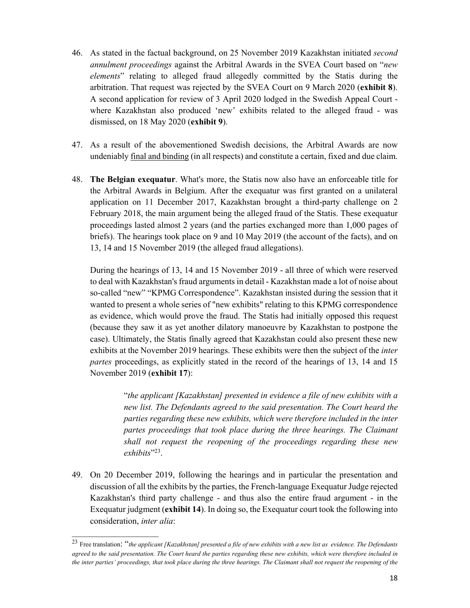- 46. As stated in the factual background, on 25 November 2019 Kazakhstan initiated *second annulment proceedings* against the Arbitral Awards in the SVEA Court based on "*new elements*" relating to alleged fraud allegedly committed by the Statis during the arbitration. That request was rejected by the SVEA Court on 9 March 2020 (**exhibit 8**). A second application for review of 3 April 2020 lodged in the Swedish Appeal Court where Kazakhstan also produced 'new' exhibits related to the alleged fraud - was dismissed, on 18 May 2020 (**exhibit 9**).
- 47. As a result of the abovementioned Swedish decisions, the Arbitral Awards are now undeniably final and binding (in all respects) and constitute a certain, fixed and due claim.
- 48. **The Belgian exequatur**. What's more, the Statis now also have an enforceable title for the Arbitral Awards in Belgium. After the exequatur was first granted on a unilateral application on 11 December 2017, Kazakhstan brought a third-party challenge on 2 February 2018, the main argument being the alleged fraud of the Statis. These exequatur proceedings lasted almost 2 years (and the parties exchanged more than 1,000 pages of briefs). The hearings took place on 9 and 10 May 2019 (the account of the facts), and on 13, 14 and 15 November 2019 (the alleged fraud allegations).

During the hearings of 13, 14 and 15 November 2019 - all three of which were reserved to deal with Kazakhstan's fraud arguments in detail - Kazakhstan made a lot of noise about so-called "new" "KPMG Correspondence". Kazakhstan insisted during the session that it wanted to present a whole series of "new exhibits" relating to this KPMG correspondence as evidence, which would prove the fraud. The Statis had initially opposed this request (because they saw it as yet another dilatory manoeuvre by Kazakhstan to postpone the case). Ultimately, the Statis finally agreed that Kazakhstan could also present these new exhibits at the November 2019 hearings. These exhibits were then the subject of the *inter partes* proceedings, as explicitly stated in the record of the hearings of 13, 14 and 15 November 2019 (**exhibit 17**):

> "*the applicant [Kazakhstan] presented in evidence a file of new exhibits with a new list. The Defendants agreed to the said presentation. The Court heard the parties regarding these new exhibits, which were therefore included in the inter partes proceedings that took place during the three hearings. The Claimant shall not request the reopening of the proceedings regarding these new exhibits*"23.

49. On 20 December 2019, following the hearings and in particular the presentation and discussion of all the exhibits by the parties, the French-language Exequatur Judge rejected Kazakhstan's third party challenge - and thus also the entire fraud argument - in the Exequatur judgment (**exhibit 14**). In doing so, the Exequatur court took the following into consideration, *inter alia*:

<sup>23</sup> Free translation: "*the applicant [Kazakhstan] presented a file of new exhibits with a new list as evidence. The Defendants agreed to the said presentation. The Court heard the parties regarding these new exhibits, which were therefore included in the inter parties' proceedings, that took place during the three hearings. The Claimant shall not request the reopening of the*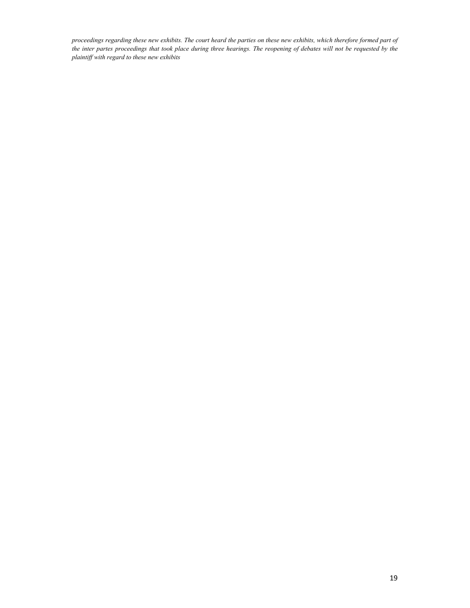*proceedings regarding these new exhibits. The court heard the parties on these new exhibits, which therefore formed part of the inter partes proceedings that took place during three hearings. The reopening of debates will not be requested by the plaintiff with regard to these new exhibits*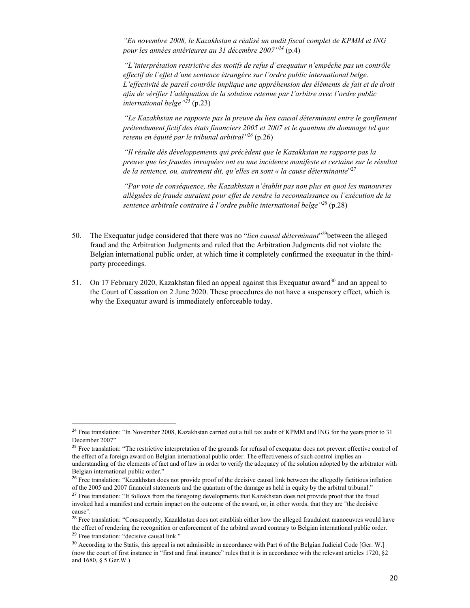*"En novembre 2008, le Kazakhstan a réalisé un audit fiscal complet de KPMM et ING pour les années antérieures au 31 décembre 2007"<sup>24</sup>* (p.4)

*"L'interprétation restrictive des motifs de refus d'exequatur n'empêche pas un contrôle effectif de l'effet d'une sentence étrangère sur l'ordre public international belge. L'effectivité de pareil contrôle implique une appréhension des éléments de fait et de droit afin de vérifier l'adéquation de la solution retenue par l'arbitre avec l'ordre public international belge"25* (p.23)

*"Le Kazakhstan ne rapporte pas la preuve du lien causal déterminant entre le gonflement prétendument fictif des états financiers 2005 et 2007 et le quantum du dommage tel que retenu en équité par le tribunal arbitral"26* (p.26)

*"Il résulte dès développements qui précèdent que le Kazakhstan ne rapporte pas la preuve que les fraudes invoquées ont eu une incidence manifeste et certaine sur le résultat de la sentence, ou, autrement dit, qu'elles en sont « la cause déterminante*"27

*"Par voie de conséquence, the Kazakhstan n'établit pas non plus en quoi les manouvres alléguées de fraude auraient pour effet de rendre la reconnaissance ou l'exécution de la sentence arbitrale contraire à l'ordre public international belge"28* (p.28)

- 50. The Exequatur judge considered that there was no "*lien causal déterminant*"29between the alleged fraud and the Arbitration Judgments and ruled that the Arbitration Judgments did not violate the Belgian international public order, at which time it completely confirmed the exequatur in the thirdparty proceedings.
- 51. On 17 February 2020, Kazakhstan filed an appeal against this Exequatur award<sup>30</sup> and an appeal to the Court of Cassation on 2 June 2020. These procedures do not have a suspensory effect, which is why the Exequatur award is immediately enforceable today.

<sup>&</sup>lt;sup>24</sup> Free translation: "In November 2008, Kazakhstan carried out a full tax audit of KPMM and ING for the years prior to 31 December 2007"

<sup>&</sup>lt;sup>25</sup> Free translation: "The restrictive interpretation of the grounds for refusal of exequatur does not prevent effective control of the effect of a foreign award on Belgian international public order. The effectiveness of such control implies an understanding of the elements of fact and of law in order to verify the adequacy of the solution adopted by the arbitrator with Belgian international public order."

<sup>&</sup>lt;sup>26</sup> Free translation: "Kazakhstan does not provide proof of the decisive causal link between the allegedly fictitious inflation of the 2005 and 2007 financial statements and the quantum of the damage as held in equity by the arbitral tribunal."

<sup>&</sup>lt;sup>27</sup> Free translation: "It follows from the foregoing developments that Kazakhstan does not provide proof that the fraud invoked had a manifest and certain impact on the outcome of the award, or, in other words, that they are "the decisive cause".

<sup>&</sup>lt;sup>28</sup> Free translation: "Consequently, Kazakhstan does not establish either how the alleged fraudulent manoeuvres would have the effect of rendering the recognition or enforcement of the arbitral award contrary to Belgian international public order. <sup>29</sup> Free translation: "decisive causal link."

<sup>&</sup>lt;sup>30</sup> According to the Statis, this appeal is not admissible in accordance with Part 6 of the Belgian Judicial Code [Ger. W.] (now the court of first instance in "first and final instance" rules that it is in accordance with the relevant articles 1720, §2 and 1680, § 5 Ger.W.)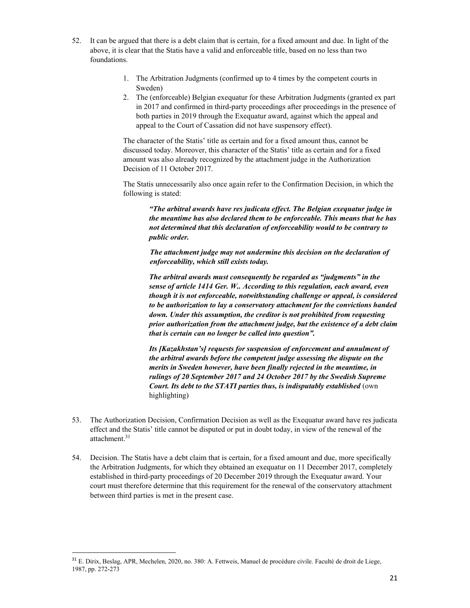- 52. It can be argued that there is a debt claim that is certain, for a fixed amount and due. In light of the above, it is clear that the Statis have a valid and enforceable title, based on no less than two foundations.
	- 1. The Arbitration Judgments (confirmed up to 4 times by the competent courts in Sweden)
	- 2. The (enforceable) Belgian exequatur for these Arbitration Judgments (granted ex part in 2017 and confirmed in third-party proceedings after proceedings in the presence of both parties in 2019 through the Exequatur award, against which the appeal and appeal to the Court of Cassation did not have suspensory effect).

The character of the Statis' title as certain and for a fixed amount thus, cannot be discussed today. Moreover, this character of the Statis' title as certain and for a fixed amount was also already recognized by the attachment judge in the Authorization Decision of 11 October 2017.

The Statis unnecessarily also once again refer to the Confirmation Decision, in which the following is stated:

*"The arbitral awards have res judicata effect. The Belgian exequatur judge in the meantime has also declared them to be enforceable. This means that he has not determined that this declaration of enforceability would to be contrary to public order.* 

 *The attachment judge may not undermine this decision on the declaration of enforceability, which still exists today.* 

*The arbitral awards must consequently be regarded as "judgments" in the sense of article 1414 Ger. W.. According to this regulation, each award, even though it is not enforceable, notwithstanding challenge or appeal, is considered to be authorization to lay a conservatory attachment for the convictions handed down. Under this assumption, the creditor is not prohibited from requesting prior authorization from the attachment judge, but the existence of a debt claim that is certain can no longer be called into question".* 

*Its [Kazakhstan's] requests for suspension of enforcement and annulment of the arbitral awards before the competent judge assessing the dispute on the merits in Sweden however, have been finally rejected in the meantime, in rulings of 20 September 2017 and 24 October 2017 by the Swedish Supreme Court. Its debt to the STATI parties thus, is indisputably established* (own highlighting)

- 53. The Authorization Decision, Confirmation Decision as well as the Exequatur award have res judicata effect and the Statis' title cannot be disputed or put in doubt today, in view of the renewal of the attachment.<sup>31</sup>
- 54. Decision. The Statis have a debt claim that is certain, for a fixed amount and due, more specifically the Arbitration Judgments, for which they obtained an exequatur on 11 December 2017, completely established in third-party proceedings of 20 December 2019 through the Exequatur award. Your court must therefore determine that this requirement for the renewal of the conservatory attachment between third parties is met in the present case.

<sup>31</sup> E. Dirix, Beslag, APR, Mechelen, 2020, no. 380: A. Fettweis, Manuel de procédure civile. Faculté de droit de Liege, 1987, pp. 272-273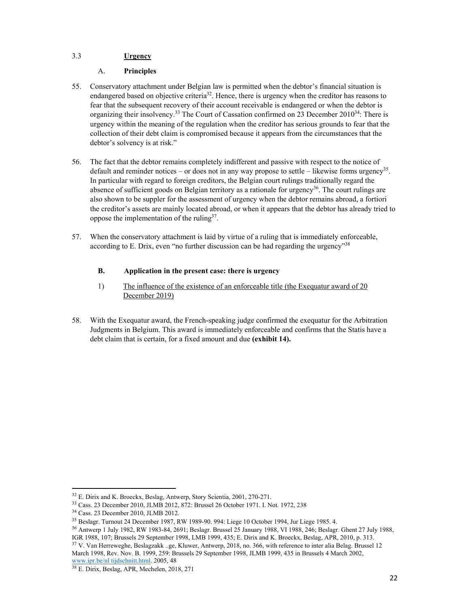#### 3.3 **Urgency**

#### A. **Principles**

- 55. Conservatory attachment under Belgian law is permitted when the debtor's financial situation is endangered based on objective criteria<sup>32</sup>. Hence, there is urgency when the creditor has reasons to fear that the subsequent recovery of their account receivable is endangered or when the debtor is organizing their insolvency.<sup>33</sup> The Court of Cassation confirmed on 23 December 2010<sup>34</sup>: There is urgency within the meaning of the regulation when the creditor has serious grounds to fear that the collection of their debt claim is compromised because it appears from the circumstances that the debtor's solvency is at risk."
- 56. The fact that the debtor remains completely indifferent and passive with respect to the notice of default and reminder notices – or does not in any way propose to settle – likewise forms urgency<sup>35</sup>. In particular with regard to foreign creditors, the Belgian court rulings traditionally regard the absence of sufficient goods on Belgian territory as a rationale for urgency<sup>36</sup>. The court rulings are also shown to be suppler for the assessment of urgency when the debtor remains abroad, a fortiori the creditor's assets are mainly located abroad, or when it appears that the debtor has already tried to oppose the implementation of the ruling  $37$ .
- 57. When the conservatory attachment is laid by virtue of a ruling that is immediately enforceable, according to E. Drix, even "no further discussion can be had regarding the urgency"<sup>38</sup>

#### **B. Application in the present case: there is urgency**

- 1) The influence of the existence of an enforceable title (the Exequatur award of 20 December 2019)
- 58. With the Exequatur award, the French-speaking judge confirmed the exequatur for the Arbitration Judgments in Belgium. This award is immediately enforceable and confirms that the Statis have a debt claim that is certain, for a fixed amount and due **(exhibit 14).**

<sup>32</sup> E. Dirix and K. Broeckx, Beslag, Antwerp, Story Scientia, 2001, 270-271.

<sup>33</sup> Cass. 23 December 2010, JLMB 2012, 872: Brussel 26 October 1971. I. Not. 1972, 238

<sup>34</sup> Cass. 23 December 2010, JLMB 2012.

 $35$  Beslagr. Turnout 24 December 1987, RW 1989-90. 994: Liege 10 October 1994, Jur Liege 1985. 4.<br> $36$  Antwerp 1 July 1982, RW 1983-84, 2691; Beslagr. Brussel 25 January 1988, VI 1988, 246; Beslagr. Ghent 27 July 1988.

IGR 1988, 107; Brussels 29 September 1998, LMB 1999, 435; E. Dirix and K. Broeckx, Beslag, APR, 2010, p. 313.

<sup>37</sup> V. Van Herreweghe, Beslagzakk ..ge, Kluwer, Antwerp, 2018, no. 366, with reference to inter alia Belag. Brussel 12 March 1998, Rev. Nov. B. 1999, 259: Brussels 29 September 1998, JLMB 1999, 435 in Brussels 4 March 2002, www.ipr.be/nl tijdschnitt.html. 2005, 48

<sup>38</sup> E. Dirix, Beslag, APR, Mechelen, 2018, 271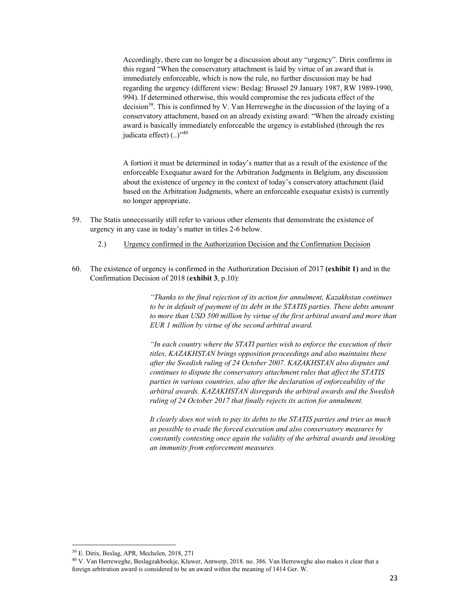Accordingly, there can no longer be a discussion about any "urgency". Dirix confirms in this regard "When the conservatory attachment is laid by virtue of an award that is immediately enforceable, which is now the rule, no further discussion may be had regarding the urgency (different view: Beslag: Brussel 29 January 1987, RW 1989-1990, 994). If determined otherwise, this would compromise the res judicata effect of the decision<sup>39</sup>. This is confirmed by V. Van Herreweghe in the discussion of the laying of a conservatory attachment, based on an already existing award: "When the already existing award is basically immediately enforceable the urgency is established (through the res judicata effect) (..)"<sup>40</sup>

A fortiori it must be determined in today's matter that as a result of the existence of the enforceable Exequatur award for the Arbitration Judgments in Belgium, any discussion about the existence of urgency in the context of today's conservatory attachment (laid based on the Arbitration Judgments, where an enforceable exequatur exists) is currently no longer appropriate.

- 59. The Statis unnecessarily still refer to various other elements that demonstrate the existence of urgency in any case in today's matter in titles 2-6 below.
	- 2.) Urgency confirmed in the Authorization Decision and the Confirmation Decision
- 60. The existence of urgency is confirmed in the Authorization Decision of 2017 **(exhibit 1)** and in the Confirmation Decision of 2018 (**exhibit 3**, p.10):

*"Thanks to the final rejection of its action for annulment, Kazakhstan continues to be in default of payment of its debt in the STATIS parties. These debts amount to more than USD 500 million by virtue of the first arbitral award and more than EUR 1 million by virtue of the second arbitral award.* 

*"In each country where the STATI parties wish to enforce the execution of their titles, KAZAKHSTAN brings opposition proceedings and also maintains these after the Swedish ruling of 24 October 2007. KAZAKHSTAN also disputes and continues to dispute the conservatory attachment rules that affect the STATIS parties in various countries, also after the declaration of enforceability of the arbitral awards. KAZAKHSTAN disregards the arbitral awards and the Swedish ruling of 24 October 2017 that finally rejects its action for annulment.* 

*It clearly does not wish to pay its debts to the STATIS parties and tries as much as possible to evade the forced execution and also conservatory measures by constantly contesting once again the validity of the arbitral awards and invoking an immunity from enforcement measures.* 

<sup>39</sup> E. Dirix, Beslag, APR, Mechelen, 2018, 271

<sup>40</sup> V. Van Herreweghe, Beslagzakboekje, Kluwer, Antwerp, 2018. no. 386. Van Herreweghe also makes it clear that a foreign arbitration award is considered to be an award within the meaning of 1414 Ger. W.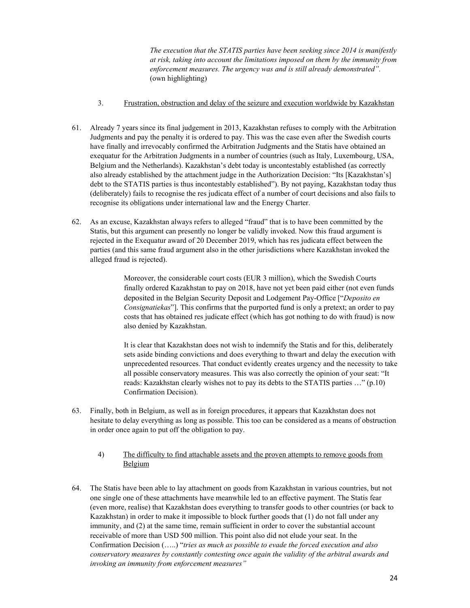*The execution that the STATIS parties have been seeking since 2014 is manifestly at risk, taking into account the limitations imposed on them by the immunity from enforcement measures. The urgency was and is still already demonstrated".* (own highlighting)

- 3. Frustration, obstruction and delay of the seizure and execution worldwide by Kazakhstan
- 61. Already 7 years since its final judgement in 2013, Kazakhstan refuses to comply with the Arbitration Judgments and pay the penalty it is ordered to pay. This was the case even after the Swedish courts have finally and irrevocably confirmed the Arbitration Judgments and the Statis have obtained an exequatur for the Arbitration Judgments in a number of countries (such as Italy, Luxembourg, USA, Belgium and the Netherlands). Kazakhstan's debt today is uncontestably established (as correctly also already established by the attachment judge in the Authorization Decision: "Its [Kazakhstan's] debt to the STATIS parties is thus incontestably established"). By not paying, Kazakhstan today thus (deliberately) fails to recognise the res judicata effect of a number of court decisions and also fails to recognise its obligations under international law and the Energy Charter.
- 62. As an excuse, Kazakhstan always refers to alleged "fraud" that is to have been committed by the Statis, but this argument can presently no longer be validly invoked. Now this fraud argument is rejected in the Exequatur award of 20 December 2019, which has res judicata effect between the parties (and this same fraud argument also in the other jurisdictions where Kazakhstan invoked the alleged fraud is rejected).

Moreover, the considerable court costs (EUR 3 million), which the Swedish Courts finally ordered Kazakhstan to pay on 2018, have not yet been paid either (not even funds deposited in the Belgian Security Deposit and Lodgement Pay-Office ["*Deposito en Consignatiekas*"]. This confirms that the purported fund is only a pretext; an order to pay costs that has obtained res judicate effect (which has got nothing to do with fraud) is now also denied by Kazakhstan.

It is clear that Kazakhstan does not wish to indemnify the Statis and for this, deliberately sets aside binding convictions and does everything to thwart and delay the execution with unprecedented resources. That conduct evidently creates urgency and the necessity to take all possible conservatory measures. This was also correctly the opinion of your seat: "It reads: Kazakhstan clearly wishes not to pay its debts to the STATIS parties …" (p.10) Confirmation Decision).

- 63. Finally, both in Belgium, as well as in foreign procedures, it appears that Kazakhstan does not hesitate to delay everything as long as possible. This too can be considered as a means of obstruction in order once again to put off the obligation to pay.
	- 4) The difficulty to find attachable assets and the proven attempts to remove goods from Belgium
- 64. The Statis have been able to lay attachment on goods from Kazakhstan in various countries, but not one single one of these attachments have meanwhile led to an effective payment. The Statis fear (even more, realise) that Kazakhstan does everything to transfer goods to other countries (or back to Kazakhstan) in order to make it impossible to block further goods that (1) do not fall under any immunity, and (2) at the same time, remain sufficient in order to cover the substantial account receivable of more than USD 500 million. This point also did not elude your seat. In the Confirmation Decision (…..) "*tries as much as possible to evade the forced execution and also conservatory measures by constantly contesting once again the validity of the arbitral awards and invoking an immunity from enforcement measures"*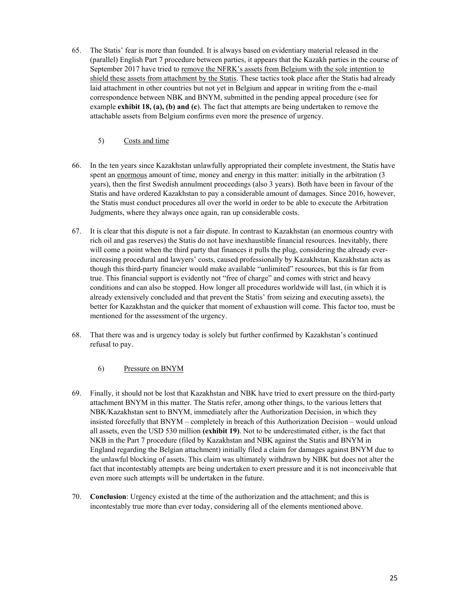65. The Statis' fear is more than founded. It is always based on evidentiary material released in the (parallel) English Part 7 procedure between parties, it appears that the Kazakh parties in the course of September 2017 have tried to remove the NFRK's assets from Belgium with the sole intention to shield these assets from attachment by the Statis. These tactics took place after the Statis had already laid attachment in other countries but not yet in Belgium and appear in writing from the e-mail correspondence between NBK and BNYM, submitted in the pending appeal procedure (see for example **exhibit 18, (a), (b) and (c**). The fact that attempts are being undertaken to remove the attachable assets from Belgium confirms even more the presence of urgency.

#### 5) Costs and time

- 66. In the ten years since Kazakhstan unlawfully appropriated their complete investment, the Statis have spent an enormous amount of time, money and energy in this matter: initially in the arbitration (3) years), then the first Swedish annulment proceedings (also 3 years). Both have been in favour of the Statis and have ordered Kazakhstan to pay a considerable amount of damages. Since 2016, however, the Statis must conduct procedures all over the world in order to be able to execute the Arbitration Judgments, where they always once again, ran up considerable costs.
- 67. It is clear that this dispute is not a fair dispute. In contrast to Kazakhstan (an enormous country with rich oil and gas reserves) the Statis do not have inexhaustible financial resources. Inevitably, there will come a point when the third party that finances it pulls the plug, considering the already everincreasing procedural and lawyers' costs, caused professionally by Kazakhstan. Kazakhstan acts as though this third-party financier would make available "unlimited" resources, but this is far from true. This financial support is evidently not "free of charge" and comes with strict and heavy conditions and can also be stopped. How longer all procedures worldwide will last, (in which it is already extensively concluded and that prevent the Statis' from seizing and executing assets), the better for Kazakhstan and the quicker that moment of exhaustion will come. This factor too, must be mentioned for the assessment of the urgency.
- 68. That there was and is urgency today is solely but further confirmed by Kazakhstan's continued refusal to pay.

#### 6) Pressure on BNYM

- 69. Finally, it should not be lost that Kazakhstan and NBK have tried to exert pressure on the third-party attachment BNYM in this matter. The Statis refer, among other things, to the various letters that NBK/Kazakhstan sent to BNYM, immediately after the Authorization Decision, in which they insisted forcefully that BNYM – completely in breach of this Authorization Decision – would unload all assets, even the USD 530 million **(exhibit 19)**. Not to be underestimated either, is the fact that NKB in the Part 7 procedure (filed by Kazakhstan and NBK against the Statis and BNYM in England regarding the Belgian attachment) initially filed a claim for damages against BNYM due to the unlawful blocking of assets. This claim was ultimately withdrawn by NBK but does not alter the fact that incontestably attempts are being undertaken to exert pressure and it is not inconceivable that even more such attempts will be undertaken in the future.
- 70. **Conclusion**: Urgency existed at the time of the authorization and the attachment; and this is incontestably true more than ever today, considering all of the elements mentioned above.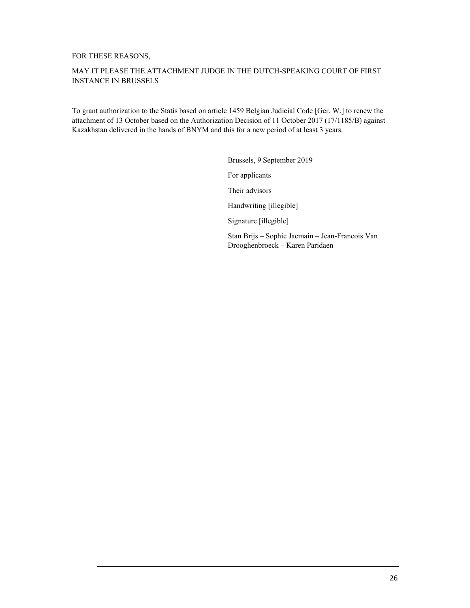#### FOR THESE REASONS,

#### MAY IT PLEASE THE ATTACHMENT JUDGE IN THE DUTCH-SPEAKING COURT OF FIRST INSTANCE IN BRUSSELS

To grant authorization to the Statis based on article 1459 Belgian Judicial Code [Ger. W.] to renew the attachment of 13 October based on the Authorization Decision of 11 October 2017 (17/1185/B) against Kazakhstan delivered in the hands of BNYM and this for a new period of at least 3 years.

> Brussels, 9 September 2019 For applicants Their advisors Handwriting [illegible] Signature [illegible] Stan Brijs – Sophie Jacmain – Jean-Francois Van Drooghenbroeck – Karen Paridaen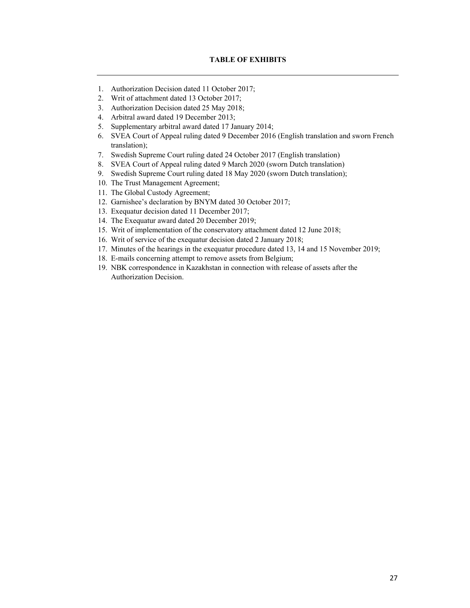- 1. Authorization Decision dated 11 October 2017;
- 2. Writ of attachment dated 13 October 2017;
- 3. Authorization Decision dated 25 May 2018;
- 4. Arbitral award dated 19 December 2013;
- 5. Supplementary arbitral award dated 17 January 2014;
- 6. SVEA Court of Appeal ruling dated 9 December 2016 (English translation and sworn French translation);
- 7. Swedish Supreme Court ruling dated 24 October 2017 (English translation)
- 8. SVEA Court of Appeal ruling dated 9 March 2020 (sworn Dutch translation)
- 9. Swedish Supreme Court ruling dated 18 May 2020 (sworn Dutch translation);
- 10. The Trust Management Agreement;
- 11. The Global Custody Agreement;
- 12. Garnishee's declaration by BNYM dated 30 October 2017;
- 13. Exequatur decision dated 11 December 2017;
- 14. The Exequatur award dated 20 December 2019;
- 15. Writ of implementation of the conservatory attachment dated 12 June 2018;
- 16. Writ of service of the exequatur decision dated 2 January 2018;
- 17. Minutes of the hearings in the exequatur procedure dated 13, 14 and 15 November 2019;
- 18. E-mails concerning attempt to remove assets from Belgium;
- 19. NBK correspondence in Kazakhstan in connection with release of assets after the Authorization Decision.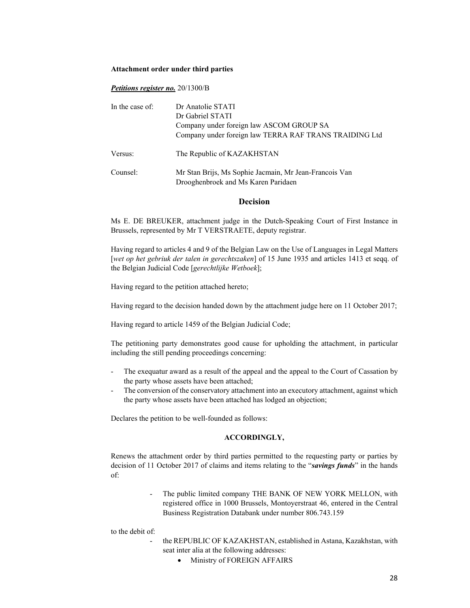#### **Attachment order under third parties**

#### *Petitions register no.* 20/1300/B

| In the case of: | Dr Anatolie STATI<br>Dr Gabriel STATI                                                              |  |  |
|-----------------|----------------------------------------------------------------------------------------------------|--|--|
|                 | Company under foreign law ASCOM GROUP SA<br>Company under foreign law TERRA RAF TRANS TRAIDING Ltd |  |  |
| Versus:         | The Republic of KAZAKHSTAN                                                                         |  |  |
| Counsel:        | Mr Stan Brijs, Ms Sophie Jacmain, Mr Jean-Francois Van<br>Drooghenbroek and Ms Karen Paridaen      |  |  |

#### **Decision**

Ms E. DE BREUKER, attachment judge in the Dutch-Speaking Court of First Instance in Brussels, represented by Mr T VERSTRAETE, deputy registrar.

Having regard to articles 4 and 9 of the Belgian Law on the Use of Languages in Legal Matters [*wet op het gebriuk der talen in gerechtszaken*] of 15 June 1935 and articles 1413 et seqq. of the Belgian Judicial Code [*gerechtlijke Wetboek*];

Having regard to the petition attached hereto;

Having regard to the decision handed down by the attachment judge here on 11 October 2017;

Having regard to article 1459 of the Belgian Judicial Code;

The petitioning party demonstrates good cause for upholding the attachment, in particular including the still pending proceedings concerning:

- The exequatur award as a result of the appeal and the appeal to the Court of Cassation by the party whose assets have been attached;
- The conversion of the conservatory attachment into an executory attachment, against which the party whose assets have been attached has lodged an objection;

Declares the petition to be well-founded as follows:

#### **ACCORDINGLY,**

Renews the attachment order by third parties permitted to the requesting party or parties by decision of 11 October 2017 of claims and items relating to the "*savings funds*" in the hands of:

> The public limited company THE BANK OF NEW YORK MELLON, with registered office in 1000 Brussels, Montoyerstraat 46, entered in the Central Business Registration Databank under number 806.743.159

to the debit of:

- the REPUBLIC OF KAZAKHSTAN, established in Astana, Kazakhstan, with seat inter alia at the following addresses:
	- $\bullet$  Ministry of FOREIGN AFFAIRS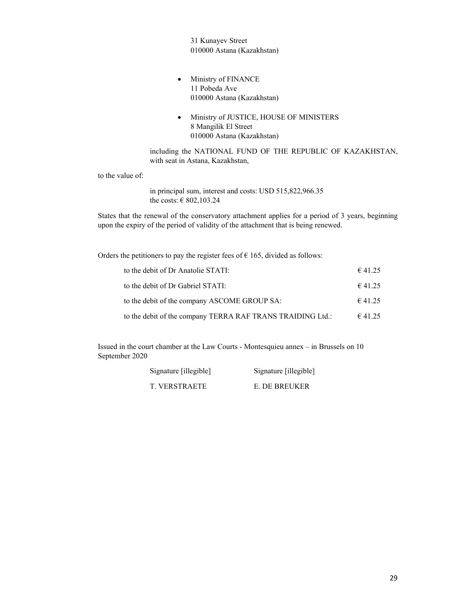31 Kunayev Street 010000 Astana (Kazakhstan)

- Ministry of FINANCE 11 Pobeda Ave 010000 Astana (Kazakhstan)
- Ministry of JUSTICE, HOUSE OF MINISTERS 8 Mangilik El Street 010000 Astana (Kazakhstan)

including the NATIONAL FUND OF THE REPUBLIC OF KAZAKHSTAN, with seat in Astana, Kazakhstan,

to the value of:

in principal sum, interest and costs: USD 515,822,966.35 the costs: € 802,103.24

States that the renewal of the conservatory attachment applies for a period of 3 years, beginning upon the expiry of the period of validity of the attachment that is being renewed.

Orders the petitioners to pay the register fees of  $\epsilon$  165, divided as follows:

| to the debit of Dr Anatolie STATI:                         | $\epsilon$ 41.25 |
|------------------------------------------------------------|------------------|
| to the debit of Dr Gabriel STATI:                          | 641.25           |
| to the debit of the company ASCOME GROUP SA:               | 641.25           |
| to the debit of the company TERRA RAF TRANS TRAIDING Ltd.: | 641.25           |

Issued in the court chamber at the Law Courts - Montesquieu annex – in Brussels on 10 September 2020

| Signature [illegible] | Signature [illegible] |
|-----------------------|-----------------------|
| T. VERSTRAETE         | E. DE BREUKER         |